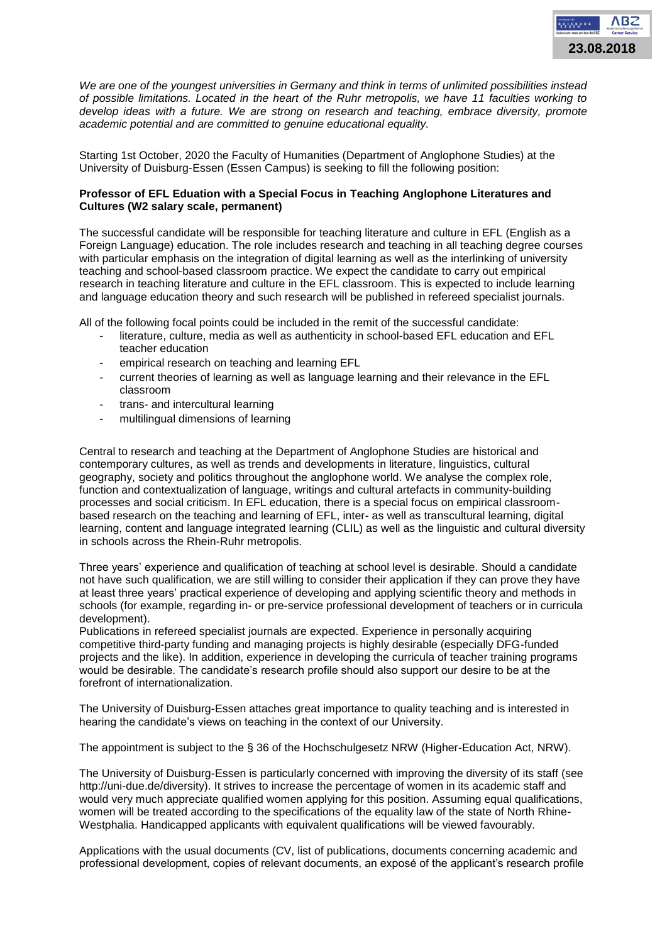

*We are one of the youngest universities in Germany and think in terms of unlimited possibilities instead of possible limitations. Located in the heart of the Ruhr metropolis, we have 11 faculties working to develop ideas with a future. We are strong on research and teaching, embrace diversity, promote academic potential and are committed to genuine educational equality.* 

Starting 1st October, 2020 the Faculty of Humanities (Department of Anglophone Studies) at the University of Duisburg-Essen (Essen Campus) is seeking to fill the following position:

## **Professor of EFL Eduation with a Special Focus in Teaching Anglophone Literatures and Cultures (W2 salary scale, permanent)**

The successful candidate will be responsible for teaching literature and culture in EFL (English as a Foreign Language) education. The role includes research and teaching in all teaching degree courses with particular emphasis on the integration of digital learning as well as the interlinking of university teaching and school-based classroom practice. We expect the candidate to carry out empirical research in teaching literature and culture in the EFL classroom. This is expected to include learning and language education theory and such research will be published in refereed specialist journals.

All of the following focal points could be included in the remit of the successful candidate:

- literature, culture, media as well as authenticity in school-based EFL education and EFL teacher education
- empirical research on teaching and learning EFL
- current theories of learning as well as language learning and their relevance in the EFL classroom
- trans- and intercultural learning
- multilingual dimensions of learning

Central to research and teaching at the Department of Anglophone Studies are historical and contemporary cultures, as well as trends and developments in literature, linguistics, cultural geography, society and politics throughout the anglophone world. We analyse the complex role, function and contextualization of language, writings and cultural artefacts in community-building processes and social criticism. In EFL education, there is a special focus on empirical classroombased research on the teaching and learning of EFL, inter- as well as transcultural learning, digital learning, content and language integrated learning (CLIL) as well as the linguistic and cultural diversity in schools across the Rhein-Ruhr metropolis.

Three years' experience and qualification of teaching at school level is desirable. Should a candidate not have such qualification, we are still willing to consider their application if they can prove they have at least three years' practical experience of developing and applying scientific theory and methods in schools (for example, regarding in- or pre-service professional development of teachers or in curricula development).

Publications in refereed specialist journals are expected. Experience in personally acquiring competitive third-party funding and managing projects is highly desirable (especially DFG-funded projects and the like). In addition, experience in developing the curricula of teacher training programs would be desirable. The candidate's research profile should also support our desire to be at the forefront of internationalization.

The University of Duisburg-Essen attaches great importance to quality teaching and is interested in hearing the candidate's views on teaching in the context of our University.

The appointment is subject to the § 36 of the Hochschulgesetz NRW (Higher-Education Act, NRW).

The University of Duisburg-Essen is particularly concerned with improving the diversity of its staff (see http://uni-due.de/diversity). It strives to increase the percentage of women in its academic staff and would very much appreciate qualified women applying for this position. Assuming equal qualifications, women will be treated according to the specifications of the equality law of the state of North Rhine-Westphalia. Handicapped applicants with equivalent qualifications will be viewed favourably.

Applications with the usual documents (CV, list of publications, documents concerning academic and professional development, copies of relevant documents, an exposé of the applicant's research profile